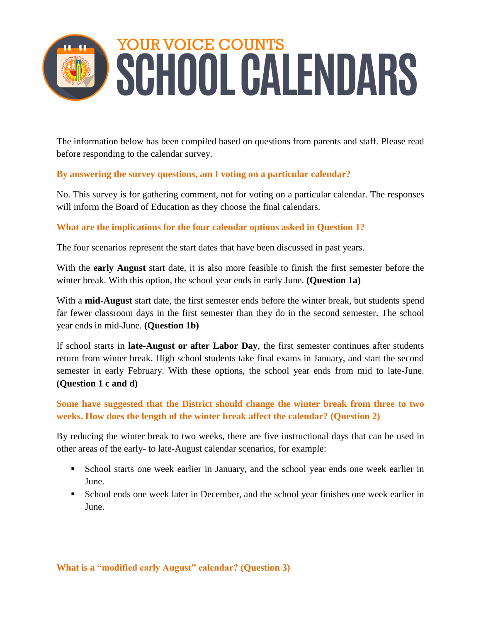# YOUR VOICE COUNTS SCHOOL CALENDARS

The information below has been compiled based on questions from parents and staff. Please read before responding to the calendar survey.

## **By answering the survey questions, am I voting on a particular calendar?**

No. This survey is for gathering comment, not for voting on a particular calendar. The responses will inform the Board of Education as they choose the final calendars.

### **What are the implications for the four calendar options asked in Question 1?**

The four scenarios represent the start dates that have been discussed in past years.

With the **early August** start date, it is also more feasible to finish the first semester before the winter break. With this option, the school year ends in early June. **(Question 1a)**

With a **mid-August** start date, the first semester ends before the winter break, but students spend far fewer classroom days in the first semester than they do in the second semester. The school year ends in mid-June. **(Question 1b)**

If school starts in **late-August or after Labor Day**, the first semester continues after students return from winter break. High school students take final exams in January, and start the second semester in early February. With these options, the school year ends from mid to late-June. **(Question 1 c and d)** 

**Some have suggested that the District should change the winter break from three to two weeks. How does the length of the winter break affect the calendar? (Question 2)**

By reducing the winter break to two weeks, there are five instructional days that can be used in other areas of the early- to late-August calendar scenarios, for example:

- School starts one week earlier in January, and the school year ends one week earlier in June.
- School ends one week later in December, and the school year finishes one week earlier in June.

#### **What is a "modified early August" calendar? (Question 3)**